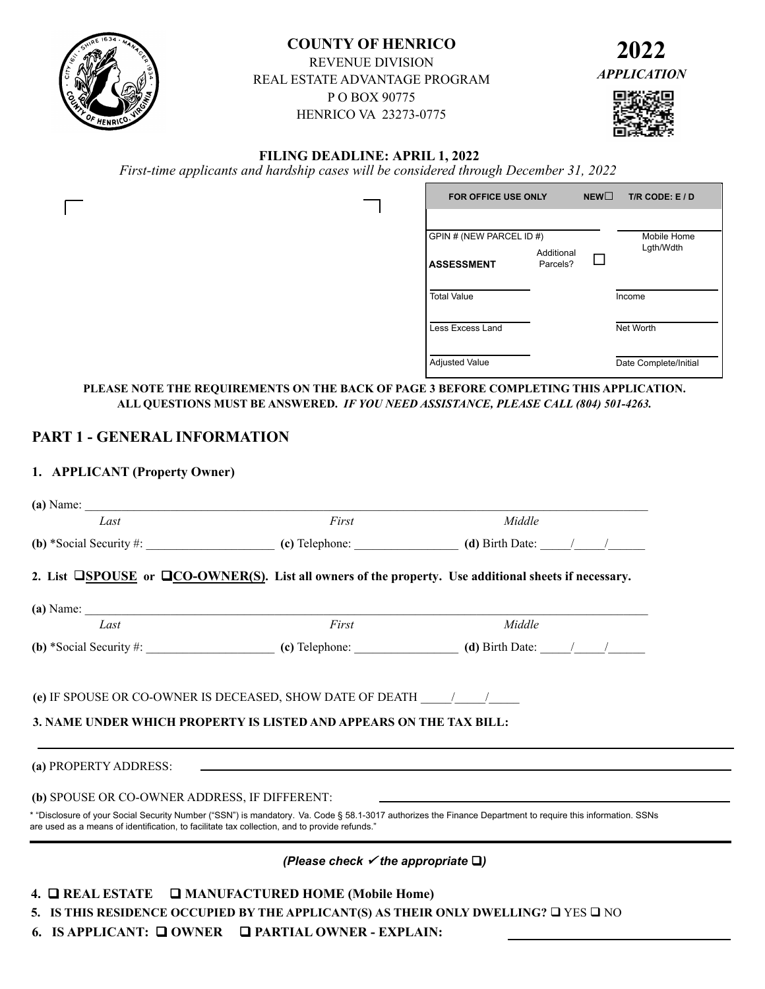

# **COUNTY OF HENRICO**

REVENUE DIVISION REAL ESTATE ADVANTAGE PROGRAM P O BOX 90775 HENRICO VA 23273-0775



# **FILING DEADLINE: APRIL 1, 2022**

*First-time applicants and hardship cases will be considered through December 31, 2022*

| <b>FOR OFFICE USE ONLY</b>                    |                        | NEW | $T/R$ CODE: $E/D$        |
|-----------------------------------------------|------------------------|-----|--------------------------|
| GPIN # (NEW PARCEL ID #)<br><b>ASSESSMENT</b> | Additional<br>Parcels? |     | Mobile Home<br>Lgth/Wdth |
| <b>Total Value</b>                            |                        |     | Income                   |
| Less Excess Land                              |                        |     | Net Worth                |
| <b>Adjusted Value</b>                         |                        |     | Date Complete/Initial    |

**PLEASE NOTE THE REQUIREMENTS ON THE BACK OF PAGE 3 BEFORE COMPLETING THIS APPLICATION. ALL QUESTIONS MUST BE ANSWERED.** *IF YOU NEED ASSISTANCE, PLEASE CALL (804) 501-4263.*

# **PART 1 - GENERAL INFORMATION**

# **1. APPLICANT (Property Owner)**

| (a) Name: $\qquad \qquad$                                                                     |                                                                                                                                                             |        |  |
|-----------------------------------------------------------------------------------------------|-------------------------------------------------------------------------------------------------------------------------------------------------------------|--------|--|
| Last                                                                                          | First                                                                                                                                                       | Middle |  |
|                                                                                               |                                                                                                                                                             |        |  |
|                                                                                               | 2. List $\square$ SPOUSE or $\square$ CO-OWNER(S). List all owners of the property. Use additional sheets if necessary.                                     |        |  |
|                                                                                               | $(a)$ Name:                                                                                                                                                 |        |  |
| Last                                                                                          | First                                                                                                                                                       | Middle |  |
|                                                                                               |                                                                                                                                                             |        |  |
| (b) SPOUSE OR CO-OWNER ADDRESS, IF DIFFERENT:                                                 | (a) PROPERTY ADDRESS: $\qquad \qquad$                                                                                                                       |        |  |
| are used as a means of identification, to facilitate tax collection, and to provide refunds." | * "Disclosure of your Social Security Number ("SSN") is mandatory. Va. Code § 58.1-3017 authorizes the Finance Department to require this information. SSNs |        |  |
|                                                                                               | (Please check $\checkmark$ the appropriate $\Box$ )                                                                                                         |        |  |
|                                                                                               | 4. <b>Q REAL ESTATE</b> Q MANUFACTURED HOME (Mobile Home)                                                                                                   |        |  |
|                                                                                               | 5. IS THIS RESIDENCE OCCUPIED BY THE APPLICANT(S) AS THEIR ONLY DWELLING? $\square$ YES $\square$ NO                                                        |        |  |
|                                                                                               | 6. IS APPLICANT: Q OWNER Q PARTIAL OWNER - EXPLAIN:                                                                                                         |        |  |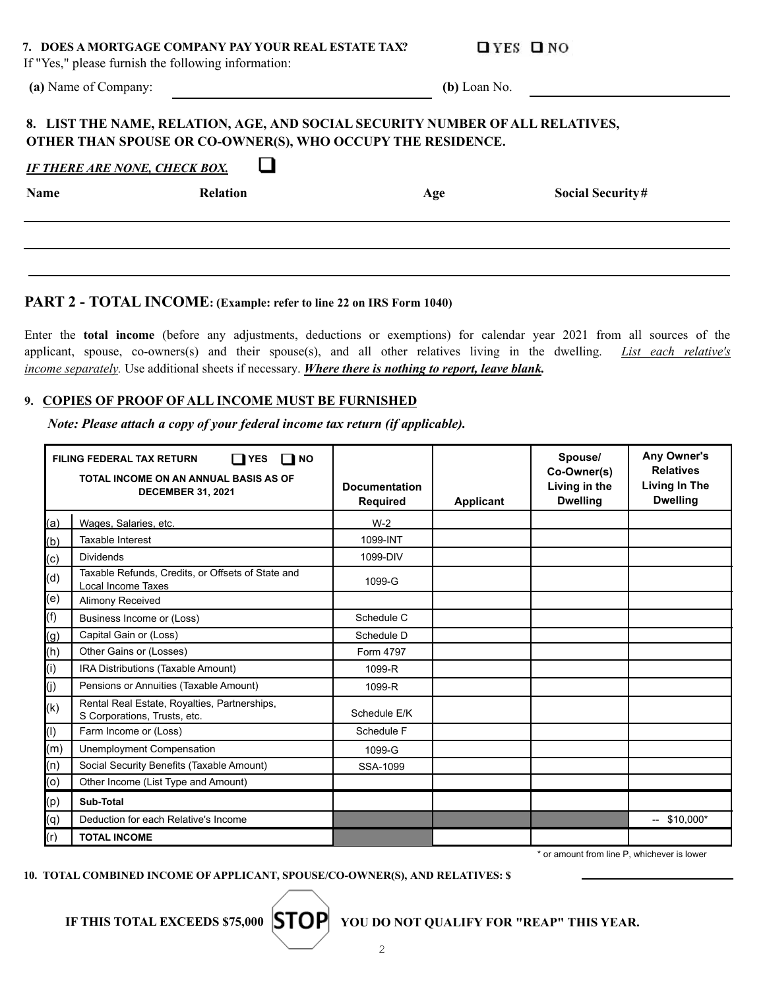### **7. DOES A MORTGAGE COMPANY PAY YOUR REAL ESTATE TAX?**

 $QYES$   $QNO$ 

**Social Security#** 

If "Yes," please furnish the following information:

**(a)** Name of Company:

 **(b)** Loan No.

# **8. LIST THE NAME, RELATION, AGE, AND SOCIAL SECURITY NUMBER OF ALL RELATIVES, OTHER THAN SPOUSE OR CO-OWNER(S), WHO OCCUPY THE RESIDENCE.**

| <b>IF THERE ARE NONE. CHECK BOX.</b> |  |
|--------------------------------------|--|
|                                      |  |

| Name | <b>Relation</b> | Age |
|------|-----------------|-----|
|      |                 |     |

a de la contrad

# **PART 2 - TOTAL INCOME: (Example: refer to line 22 on IRS Form 1040)**

Enter the **total income** (before any adjustments, deductions or exemptions) for calendar year 2021 from all sources of the applicant, spouse, co-owners(s) and their spouse(s), and all other relatives living in the dwelling. *List each relative's income separately.* Use additional sheets if necessary. *Where there is nothing to report, leave blank.*

# **9. COPIES OF PROOF OF ALL INCOME MUST BE FURNISHED**

*Note: Please attach a copy of your federal income tax return (if applicable).*

|     | <b>FILING FEDERAL TAX RETURN</b><br><b>YES</b><br>$\blacksquare$ NO<br>l 1<br>TOTAL INCOME ON AN ANNUAL BASIS AS OF<br><b>DECEMBER 31, 2021</b> | <b>Documentation</b><br><b>Required</b> | <b>Applicant</b> | Spouse/<br>Co-Owner(s)<br>Living in the<br><b>Dwelling</b> | Any Owner's<br><b>Relatives</b><br><b>Living In The</b><br><b>Dwelling</b> |
|-----|-------------------------------------------------------------------------------------------------------------------------------------------------|-----------------------------------------|------------------|------------------------------------------------------------|----------------------------------------------------------------------------|
| (a) | Wages, Salaries, etc.                                                                                                                           | $W-2$                                   |                  |                                                            |                                                                            |
| (b) | Taxable Interest                                                                                                                                | 1099-INT                                |                  |                                                            |                                                                            |
| (c) | <b>Dividends</b>                                                                                                                                | 1099-DIV                                |                  |                                                            |                                                                            |
| (d) | Taxable Refunds, Credits, or Offsets of State and<br>Local Income Taxes                                                                         | 1099-G                                  |                  |                                                            |                                                                            |
| (e) | <b>Alimony Received</b>                                                                                                                         |                                         |                  |                                                            |                                                                            |
| (f) | Business Income or (Loss)                                                                                                                       | Schedule C                              |                  |                                                            |                                                                            |
| (g) | Capital Gain or (Loss)                                                                                                                          | Schedule D                              |                  |                                                            |                                                                            |
| (h) | Other Gains or (Losses)                                                                                                                         | Form 4797                               |                  |                                                            |                                                                            |
| (i) | IRA Distributions (Taxable Amount)                                                                                                              | 1099-R                                  |                  |                                                            |                                                                            |
| (j) | Pensions or Annuities (Taxable Amount)                                                                                                          | 1099-R                                  |                  |                                                            |                                                                            |
| (k) | Rental Real Estate, Royalties, Partnerships,<br>S Corporations, Trusts, etc.                                                                    | Schedule E/K                            |                  |                                                            |                                                                            |
| (1) | Farm Income or (Loss)                                                                                                                           | Schedule F                              |                  |                                                            |                                                                            |
| (m) | Unemployment Compensation                                                                                                                       | 1099-G                                  |                  |                                                            |                                                                            |
| (n) | Social Security Benefits (Taxable Amount)                                                                                                       | SSA-1099                                |                  |                                                            |                                                                            |
| (o) | Other Income (List Type and Amount)                                                                                                             |                                         |                  |                                                            |                                                                            |
| (p) | Sub-Total                                                                                                                                       |                                         |                  |                                                            |                                                                            |
| (q) | Deduction for each Relative's Income                                                                                                            |                                         |                  |                                                            | $-$ \$10.000*                                                              |
| (r) | <b>TOTAL INCOME</b>                                                                                                                             |                                         |                  |                                                            |                                                                            |

\* or amount from line P, whichever is lower

**10. TOTAL COMBINED INCOME OF APPLICANT, SPOUSE/CO-OWNER(S), AND RELATIVES: \$**

IF THIS TOTAL EXCEEDS \$75,000 **STOP** YOU DO NOT OUALIFY FOR "REAP" THIS YEAR.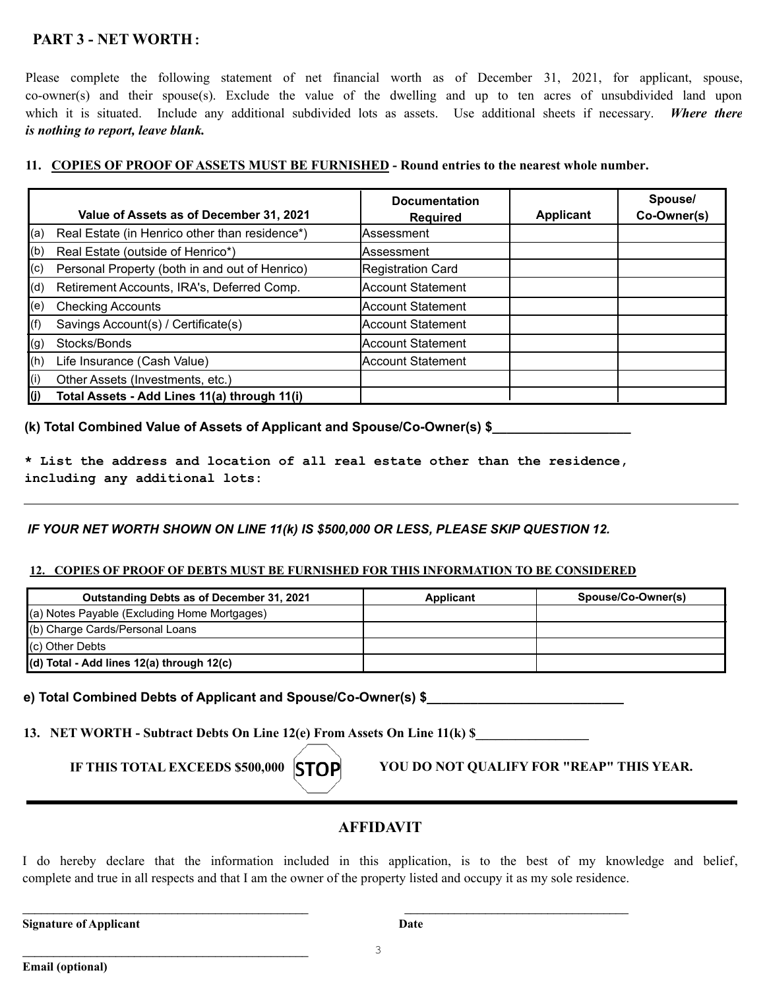# **PART 3 - NET WORTH:**

Please complete the following statement of net financial worth as of December 31, 2021, for applicant, spouse, co-owner(s) and their spouse(s). Exclude the value of the dwelling and up to ten acres of unsubdivided land upon which it is situated. Include any additional subdivided lots as assets. Use additional sheets if necessary. *Where there is nothing to report, leave blank.*

# **11.****COPIES OF PROOF OF ASSETS MUST BE FURNISHED - Round entries to the nearest whole number.**

|              | Value of Assets as of December 31, 2021        | <b>Documentation</b><br><b>Required</b> | <b>Applicant</b> | Spouse/<br>Co-Owner(s) |
|--------------|------------------------------------------------|-----------------------------------------|------------------|------------------------|
| (a)          | Real Estate (in Henrico other than residence*) | lAssessment                             |                  |                        |
| (b)          | Real Estate (outside of Henrico*)              | lAssessment                             |                  |                        |
| $ ({\tt c})$ | Personal Property (both in and out of Henrico) | Registration Card                       |                  |                        |
| (d)          | Retirement Accounts, IRA's, Deferred Comp.     | Account Statement                       |                  |                        |
| (e)          | <b>Checking Accounts</b>                       | Account Statement                       |                  |                        |
| (f)          | Savings Account(s) / Certificate(s)            | Account Statement                       |                  |                        |
| $\vert$ (g)  | Stocks/Bonds                                   | Account Statement                       |                  |                        |
| (h)          | Life Insurance (Cash Value)                    | Account Statement                       |                  |                        |
| (i)          | Other Assets (Investments, etc.)               |                                         |                  |                        |
| I(j)         | Total Assets - Add Lines 11(a) through 11(i)   |                                         |                  |                        |

# **(k) Total Combined Value of Assets of Applicant and Spouse/Co-Owner(s) \$\_\_\_\_\_\_\_\_\_\_\_\_\_\_\_\_\_\_\_**

**\* List the address and location of all real estate other than the residence, including any additional lots:**

# *IF YOUR NET WORTH SHOWN ON LINE 11(k) IS \$500,000 OR LESS, PLEASE SKIP QUESTION 12.*

# **12. COPIES OF PROOF OF DEBTS MUST BE FURNISHED FOR THIS INFORMATION TO BE CONSIDERED**

| <b>Outstanding Debts as of December 31, 2021</b>  | Applicant | Spouse/Co-Owner(s) |
|---------------------------------------------------|-----------|--------------------|
| (a) Notes Payable (Excluding Home Mortgages)      |           |                    |
| (b) Charge Cards/Personal Loans                   |           |                    |
| $(c)$ Other Debts                                 |           |                    |
| $\vert$ (d) Total - Add lines 12(a) through 12(c) |           |                    |

# **e) Total Combined Debts of Applicant and Spouse/Co-Owner(s) \$\_\_\_\_\_\_\_\_\_\_\_\_\_\_\_\_\_\_\_\_\_\_\_\_\_\_\_**

**13. NET WORTH - Subtract Debts On Line 12(e) From Assets On Line 11(k) \$** 

 $\mathcal{L}_\text{max}$  , and the contract of the contract of the contract of the contract of the contract of the contract of the contract of the contract of the contract of the contract of the contract of the contract of the contr

IF THIS TOTAL EXCEEDS \$500,000 **STOP** YOU DO NOT QUALIFY FOR "REAP" THIS YEAR.

# **AFFIDAVIT**

I do hereby declare that the information included in this application, is to the best of my knowledge and belief, complete and true in all respects and that I am the owner of the property listed and occupy it as my sole residence.

**Signature of Applicant Date** 

 $\overline{\phantom{a}}$  , and the contribution of the contribution of the contribution of the contribution of the contribution of the contribution of the contribution of the contribution of the contribution of the contribution of the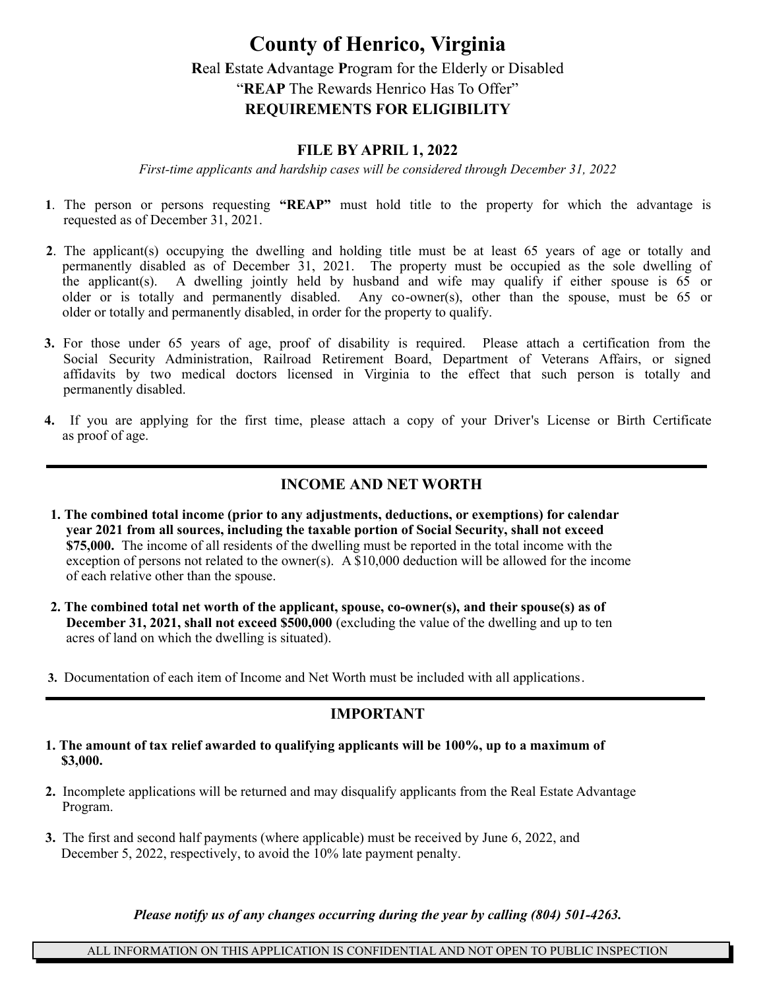# **County of Henrico, Virginia R**eal **E**state **A**dvantage **P**rogram for the Elderly or Disabled "**REAP** The Rewards Henrico Has To Offer" **REQUIREMENTS FOR ELIGIBILITY**

# **FILE BY APRIL 1, 2022**

*First-time applicants and hardship cases will be considered through December 31, 2022*

- **1**. The person or persons requesting **"REAP"** must hold title to the property for which the advantage is requested as of December 31, 2021.
- **2**. The applicant(s) occupying the dwelling and holding title must be at least 65 years of age or totally and permanently disabled as of December 31, 2021. The property must be occupied as the sole dwelling of the applicant(s). A dwelling jointly held by husband and wife may qualify if either spouse is 65 or older or is totally and permanently disabled. Any co-owner(s), other than the spouse, must be 65 or older or totally and permanently disabled, in order for the property to qualify.
- **3.** For those under 65 years of age, proof of disability is required. Please attach a certification from the Social Security Administration, Railroad Retirement Board, Department of Veterans Affairs, or signed affidavits by two medical doctors licensed in Virginia to the effect that such person is totally and permanently disabled.
- **4.** If you are applying for the first time, please attach a copy of your Driver's License or Birth Certificate as proof of age.

# **INCOME AND NET WORTH**

- **1. The combined total income (prior to any adjustments, deductions, or exemptions) for calendar year 2021 from all sources, including the taxable portion of Social Security, shall not exceed \$75,000.** The income of all residents of the dwelling must be reported in the total income with the exception of persons not related to the owner(s). A  $$10,000$  deduction will be allowed for the income of each relative other than the spouse.
- **2. The combined total net worth of the applicant, spouse, co-owner(s), and their spouse(s) as of December 31, 2021, shall not exceed \$500,000** (excluding the value of the dwelling and up to ten acres of land on which the dwelling is situated).
- **3.** Documentation of each item of Income and Net Worth must be included with all applications.

# **IMPORTANT**

- **1. The amount of tax relief awarded to qualifying applicants will be 100%, up to a maximum of \$3,000.**
- **2.** Incomplete applications will be returned and may disqualify applicants from the Real Estate Advantage Program.
- **3.** The first and second half payments (where applicable) must be received by June 6, 2022, and December 5, 2022, respectively, to avoid the 10% late payment penalty.

*Please notify us of any changes occurring during the year by calling (804) 501-4263.*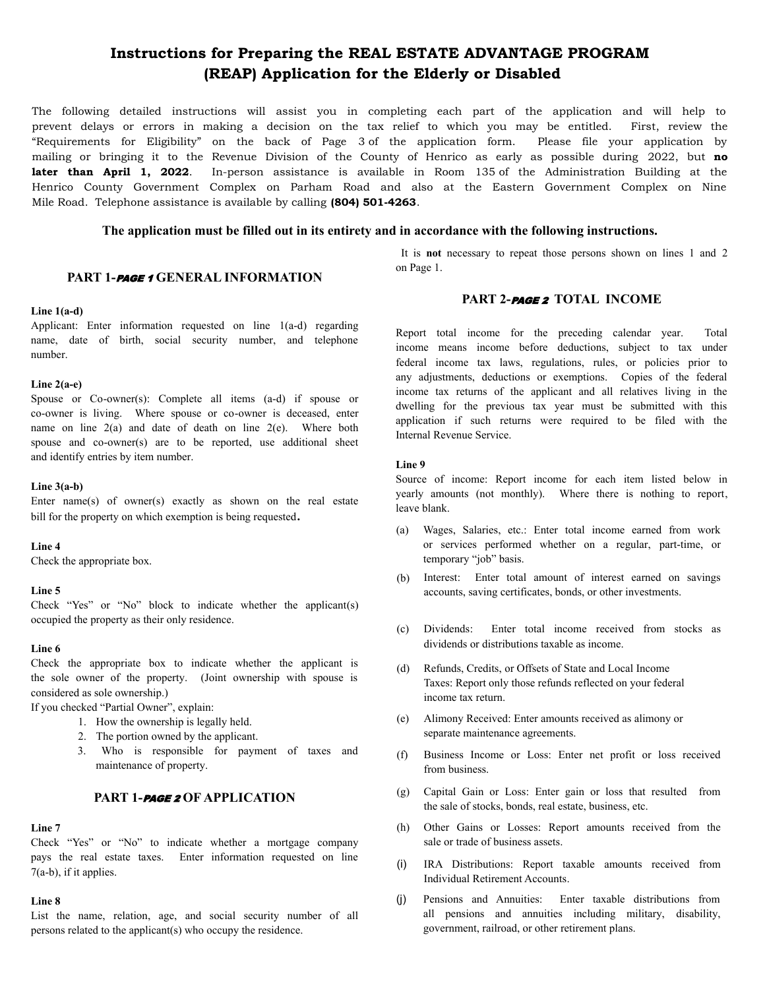# **Instructions for Preparing the REAL ESTATE ADVANTAGE PROGRAM (REAP) Application for the Elderly or Disabled**

The following detailed instructions will assist you in completing each part of the application and will help to prevent delays or errors in making a decision on the tax relief to which you may be entitled. First, review the "Requirements for Eligibility" on the back of Page 3 of the application form. Please file your application by mailing or bringing it to the Revenue Division of the County of Henrico as early as possible during 2022, but **no later than April 1, 2022**. In-person assistance is available in Room 135 of the Administration Building at the Henrico County Government Complex on Parham Road and also at the Eastern Government Complex on Nine Mile Road. Telephone assistance is available by calling **(804) 501-4263**.

### **The application must be filled out in its entirety and in accordance with the following instructions.**

### **PART 1-**PAGE 1 **GENERAL INFORMATION**

# It is **not** necessary to repeat those persons shown on lines 1 and 2 on Page 1.

### **Line 1(a-d)**

Applicant: Enter information requested on line 1(a-d) regarding name, date of birth, social security number, and telephone number.

### **Line 2(a-e)**

Spouse or Co-owner(s): Complete all items (a-d) if spouse or co-owner is living. Where spouse or co-owner is deceased, enter name on line  $2(a)$  and date of death on line  $2(e)$ . Where both spouse and co-owner(s) are to be reported, use additional sheet and identify entries by item number.

### **Line 3(a-b)**

Enter name(s) of owner(s) exactly as shown on the real estate bill for the property on which exemption is being requested**.**

### **Line 4**

Check the appropriate box.

### **Line 5**

Check "Yes" or "No" block to indicate whether the applicant(s) occupied the property as their only residence.

### **Line 6**

Check the appropriate box to indicate whether the applicant is the sole owner of the property. (Joint ownership with spouse is considered as sole ownership.)

If you checked "Partial Owner", explain:

- 1. How the ownership is legally held.
- 2. The portion owned by the applicant.
- 3. Who is responsible for payment of taxes and maintenance of property.

### **PART 1-**PAGE 2 **OF APPLICATION**

### **Line 7**

Check "Yes" or "No" to indicate whether a mortgage company pays the real estate taxes. Enter information requested on line 7(a-b), if it applies.

### **Line 8**

List the name, relation, age, and social security number of all persons related to the applicant(s) who occupy the residence.

# **PART 2-**PAGE 2 **TOTAL INCOME**

Report total income for the preceding calendar year. Total income means income before deductions, subject to tax under federal income tax laws, regulations, rules, or policies prior to any adjustments, deductions or exemptions. Copies of the federal income tax returns of the applicant and all relatives living in the dwelling for the previous tax year must be submitted with this application if such returns were required to be filed with the Internal Revenue Service.

### **Line 9**

Source of income: Report income for each item listed below in yearly amounts (not monthly). Where there is nothing to report, leave blank.

- Wages, Salaries, etc.: Enter total income earned from work (a) or services performed whether on a regular, part-time, or temporary "job" basis.
- (b) Interest: Enter total amount of interest earned on savings accounts, saving certificates, bonds, or other investments.
- (c) Dividends: Enter total income received from stocks as dividends or distributions taxable as income.
- (d) Refunds, Credits, or Offsets of State and Local Income Taxes: Report only those refunds reflected on your federal income tax return.
- (e) Alimony Received: Enter amounts received as alimony or separate maintenance agreements.
- $(f)$ Business Income or Loss: Enter net profit or loss received from business.
- (g) Capital Gain or Loss: Enter gain or loss that resulted from the sale of stocks, bonds, real estate, business, etc.
- (h) Other Gains or Losses: Report amounts received from the sale or trade of business assets.
- IRA Distributions: Report taxable amounts received from Individual Retirement Accounts. (i)
- Pensions and Annuities: Enter taxable distributions from all pensions and annuities including military, disability, government, railroad, or other retirement plans. (j)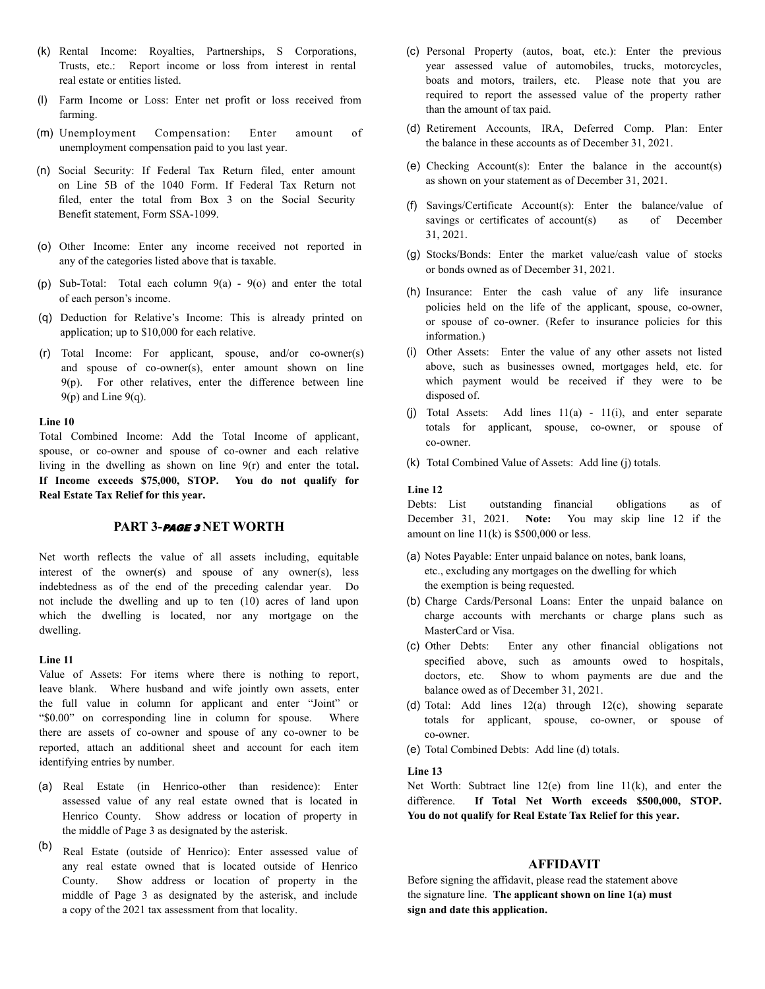- (k) Rental Income: Royalties, Partnerships, S Corporations, Trusts, etc.: Report income or loss from interest in rental real estate or entities listed.
- Farm Income or Loss: Enter net profit or loss received from (l) farming.
- (m) Unemployment Compensation: Enter amount of unemployment compensation paid to you last year.
- (n) Social Security: If Federal Tax Return filed, enter amount on Line 5B of the 1040 Form. If Federal Tax Return not filed, enter the total from Box 3 on the Social Security Benefit statement, Form SSA-1099.
- (o) Other Income: Enter any income received not reported in any of the categories listed above that is taxable.
- $(p)$  Sub-Total: Total each column  $9(a) 9(0)$  and enter the total of each person's income.
- Deduction for Relative's Income: This is already printed on (q) application; up to \$10,000 for each relative.
- Total Income: For applicant, spouse, and/or co-owner(s) (r)and spouse of co-owner(s), enter amount shown on line  $9(p)$ . For other relatives, enter the difference between line  $9(p)$  and Line  $9(q)$ .

### **Line 10**

Total Combined Income: Add the Total Income of applicant, spouse, or co-owner and spouse of co-owner and each relative living in the dwelling as shown on line 9(r) and enter the total**. If Income exceeds \$75,000, STOP. You do not qualify for Real Estate Tax Relief for this year.**

### **PART 3-**PAGE 3 **NET WORTH**

Net worth reflects the value of all assets including, equitable interest of the owner(s) and spouse of any owner(s), less indebtedness as of the end of the preceding calendar year. Do not include the dwelling and up to ten (10) acres of land upon which the dwelling is located, nor any mortgage on the dwelling.

### **Line 11**

Value of Assets: For items where there is nothing to report, leave blank. Where husband and wife jointly own assets, enter the full value in column for applicant and enter "Joint" or "\$0.00" on corresponding line in column for spouse. Where there are assets of co-owner and spouse of any co-owner to be reported, attach an additional sheet and account for each item identifying entries by number.

- (a) Real Estate (in Henrico-other than residence): Enter assessed value of any real estate owned that is located in Henrico County. Show address or location of property in the middle of Page 3 as designated by the asterisk.
- (b) Real Estate (outside of Henrico): Enter assessed value of any real estate owned that is located outside of Henrico County. Show address or location of property in the middle of Page 3 as designated by the asterisk, and include a copy of the 2021 tax assessment from that locality.
- (c) Personal Property (autos, boat, etc.): Enter the previous year assessed value of automobiles, trucks, motorcycles, boats and motors, trailers, etc. Please note that you are required to report the assessed value of the property rather than the amount of tax paid.
- (d) Retirement Accounts, IRA, Deferred Comp. Plan: Enter the balance in these accounts as of December 31, 2021.
- (e) Checking Account(s): Enter the balance in the account(s) as shown on your statement as of December 31, 2021.
- (f) Savings/Certificate Account(s): Enter the balance/value of savings or certificates of account(s) as of December 31, 2021.
- (g) Stocks/Bonds: Enter the market value/cash value of stocks or bonds owned as of December 31, 2021.
- (h) Insurance: Enter the cash value of any life insurance policies held on the life of the applicant, spouse, co-owner, or spouse of co-owner. (Refer to insurance policies for this information.)
- (i) Other Assets: Enter the value of any other assets not listed above, such as businesses owned, mortgages held, etc. for which payment would be received if they were to be disposed of.
- (j) Total Assets: Add lines 11(a) 11(i), and enter separate totals for applicant, spouse, co-owner, or spouse of co-owner.
- (k) Total Combined Value of Assets: Add line (j) totals.

#### **Line 12**

Debts: List outstanding financial obligations as of December 31, 2021. **Note:** You may skip line 12 if the amount on line  $11(k)$  is \$500,000 or less.

- (a) Notes Payable: Enter unpaid balance on notes, bank loans, etc., excluding any mortgages on the dwelling for which the exemption is being requested.
- (b) Charge Cards/Personal Loans: Enter the unpaid balance on charge accounts with merchants or charge plans such as MasterCard or Visa.
- (c) Other Debts: Enter any other financial obligations not specified above, such as amounts owed to hospitals, doctors, etc. Show to whom payments are due and the balance owed as of December 31, 2021.
- (d) Total: Add lines 12(a) through 12(c), showing separate totals for applicant, spouse, co-owner, or spouse of co-owner.
- (e) Total Combined Debts: Add line (d) totals.

### **Line 13**

Net Worth: Subtract line 12(e) from line 11(k), and enter the difference. **If Total Net Worth exceeds \$500,000, STOP. You do not qualify for Real Estate Tax Relief for this year.**

### **AFFIDAVIT**

Before signing the affidavit, please read the statement above the signature line. **The applicant shown on line 1(a) must sign and date this application.**